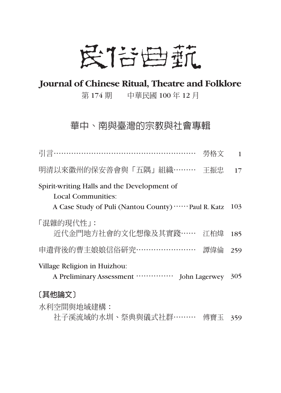## 民信曲航

### **Journal of Chinese Ritual, Theatre and Folklore**

第 174 期 中華民國 100 年 12 月

### 華中、南與臺灣的宗教與社會專輯

| 引言…………………………………………………                                                                                                          | 勞格文<br>1   |
|--------------------------------------------------------------------------------------------------------------------------------|------------|
| 明清以來徽州的保安善會與「五隅」組織………                                                                                                          | 王振忠<br>17  |
| Spirit-writing Halls and the Development of<br><b>Local Communities:</b><br>A Case Study of Puli (Nantou County)  Paul R. Katz | 103        |
| 「混雜的現代性」:<br>近代金門地方社會的文化想像及其實踐……                                                                                               | 江柏煒<br>185 |
| 申遺背後的曹主娘娘信俗研究……………………<br>譚偉倫                                                                                                   | 259        |
| Village Religion in Huizhou:<br>A Preliminary Assessment<br>John Lagerwey                                                      | 305        |
| [其他論文]                                                                                                                         |            |
| 水利空間與地域建構:                                                                                                                     |            |
| 社子溪流域的水圳、祭典與儀式社群………                                                                                                            | 傅寶玉<br>359 |